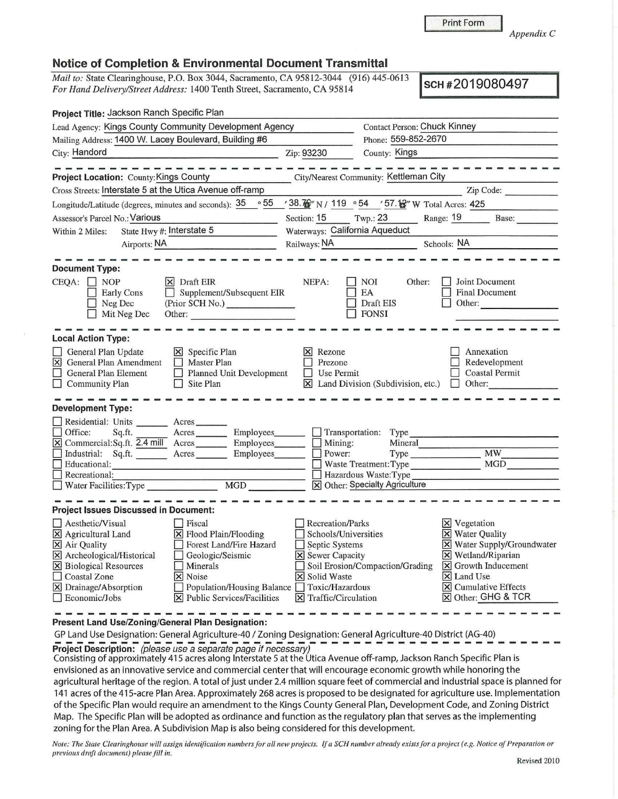[8] Cumulative Effects [g) Other: GHG & TCR

*Note: The State Clearinghouse will assign identification numbers for all new projects.* If *a SCH number already exists for a project (e.g. Notice of Preparation or previous draft document) please fill in.* Revised 2010

GP Land Use Designation: General Agriculture-40 / Zoning Designation: General Agriculture-40 District (AG-40)<br>Project Description: (please use a separate page if necessary)<br>Consisting of proprietive financially 415 acros

agricultural heritage of the region. A total of just under 2.4 million square feet of commercial and industrial space is planned for 141 acres of the 415-acre Plan Area. Approximately 268 acres is proposed to be designated for agriculture use. Implementation of the Specific Plan would require an amendment to the Kings County General Plan, Development Code, and Zoning District Map. The Specific Plan will be adopted as ordinance and function as the regulatory plan that serves as the implementing

**Project Description:**  $\overline{c}$  please use a separate page if necessary)<br>Consisting of approximately 415 acres along Interstate 5 at the Utica Avenue off-ramp, Jackson Ranch Specific Plan is envisioned as an innovative service and commercial center that will encourage economic growth while honoring the

## **Notice of Completion & Environmental Document Transmittal**

 $\boxed{\times}$  Drainage/Absorption  $\boxed{\phantom{\times}}$  Population/Housing Balance  $\boxed{\phantom{\times}}$  Toxic/Hazardous  $\boxed{\phantom{\times}}$  Economic/Jobs  $\boxed{\times}$  Public Services/Facilities  $\boxed{\times}$  Traffic/Circulation

zoning for the Plan Area. A Subdivision Map is also being considered for this development.

 $\Box$  Economic/Jobs  $\Box$  Public Services/Facilities

**Present Land Use/Zoning/General Plan Designation:** 

----------

*Mail to:* State Clearinghouse, P.O. Box 3044, Sacramento, CA 95812-3044 (916) 445-0613 *For Hand Delivery/Street Address:* 1400 Tenth Street, Sacramento, CA 95814 **SCH #2019080497 SCH #2019080497** 

| Project Title: Jackson Ranch Specific Plan                                                                                                                                                                                                                 |                                                                                                               |                                                         |                                                                                                                                 |  |
|------------------------------------------------------------------------------------------------------------------------------------------------------------------------------------------------------------------------------------------------------------|---------------------------------------------------------------------------------------------------------------|---------------------------------------------------------|---------------------------------------------------------------------------------------------------------------------------------|--|
| Lead Agency: Kings County Community Development Agency                                                                                                                                                                                                     |                                                                                                               | <b>Contact Person: Chuck Kinney</b>                     |                                                                                                                                 |  |
| Mailing Address: 1400 W. Lacey Boulevard, Building #6                                                                                                                                                                                                      |                                                                                                               | Phone: 559-852-2670                                     |                                                                                                                                 |  |
| City: Handord                                                                                                                                                                                                                                              | Zip: 93230                                                                                                    | County: Kings                                           |                                                                                                                                 |  |
| manager and the same and<br>Project Location: County: Kings County                                                                                                                                                                                         |                                                                                                               | City/Nearest Community: Kettleman City                  |                                                                                                                                 |  |
| Cross Streets: Interstate 5 at the Utica Avenue off-ramp                                                                                                                                                                                                   |                                                                                                               |                                                         | Zip Code:                                                                                                                       |  |
| Longitude/Latitude (degrees, minutes and seconds): $\frac{35}{5}$ $\frac{65}{5}$ $\frac{738.7}{11}$ N / 119 $\frac{65}{5}$ $\frac{100}{5}$ W Total Acres: 425                                                                                              |                                                                                                               |                                                         |                                                                                                                                 |  |
| Assessor's Parcel No.: Various                                                                                                                                                                                                                             |                                                                                                               |                                                         | Section: 15 Twp.: 23 Range: 19 Base:                                                                                            |  |
| State Hwy #: Interstate 5<br>Within 2 Miles:                                                                                                                                                                                                               | Waterways: California Aqueduct                                                                                |                                                         |                                                                                                                                 |  |
| Airports: NA                                                                                                                                                                                                                                               |                                                                                                               |                                                         | Railways: NA Schools: NA                                                                                                        |  |
| <b>Document Type:</b>                                                                                                                                                                                                                                      |                                                                                                               |                                                         |                                                                                                                                 |  |
| $CEQA: \Box NOP$<br>$\times$ Draft EIR<br>$\Box$ Supplement/Subsequent EIR<br><b>Early Cons</b><br>(Prior SCH No.) _______________<br>$\Box$ Neg Dec<br>Mit Neg Dec<br>Other:                                                                              | NEPA:                                                                                                         | <b>NOI</b><br>Other:<br>EA<br>Draft EIS<br><b>FONSI</b> | <b>Joint Document</b><br><b>Final Document</b><br>Other:                                                                        |  |
| <b>Local Action Type:</b>                                                                                                                                                                                                                                  |                                                                                                               |                                                         |                                                                                                                                 |  |
| General Plan Update<br>$\times$ Specific Plan<br>X General Plan Amendment<br><b>Master Plan</b><br>$\Box$<br>General Plan Element<br>Planned Unit Development<br>$\Box$ Community Plan<br>Site Plan<br>Ш                                                   | $\vert \mathsf{x} \vert$ Rezone<br>Prezone<br>$\Box$ Use Permit                                               |                                                         | Annexation<br>Redevelopment<br><b>Coastal Permit</b><br>$\boxtimes$ Land Division (Subdivision, etc.) $\Box$ Other:             |  |
| <b>Development Type:</b>                                                                                                                                                                                                                                   |                                                                                                               |                                                         |                                                                                                                                 |  |
| Residential: Units _______ Acres _______<br>Office:<br>Sq.ft.<br>Acres<br>Employees_______<br>X Commercial: Sq.ft. 2.4 mill Acres ________ Employees<br>Industrial: Sq.ft. Acres Employees                                                                 | Mining:<br>Power:                                                                                             | Transportation: Type<br>Mineral<br>Type Type            | <b>MW</b>                                                                                                                       |  |
| Educational:                                                                                                                                                                                                                                               |                                                                                                               | Waste Treatment: Type                                   | <b>MGD</b>                                                                                                                      |  |
| Recreational:                                                                                                                                                                                                                                              |                                                                                                               | Hazardous Waste: Type                                   |                                                                                                                                 |  |
|                                                                                                                                                                                                                                                            |                                                                                                               | X Other: Specialty Agriculture                          |                                                                                                                                 |  |
| <b>Project Issues Discussed in Document:</b>                                                                                                                                                                                                               |                                                                                                               |                                                         |                                                                                                                                 |  |
| Aesthetic/Visual<br>$ $ Fiscal<br>X Agricultural Land<br>X Flood Plain/Flooding<br>Forest Land/Fire Hazard<br>X Air Quality<br>X Archeological/Historical<br>Geologic/Seismic<br>П<br>X Biological Resources<br>$\Box$ Minerals<br>Coastal Zone<br>X Noise | Recreation/Parks<br>Schools/Universities<br>Septic Systems<br><b>X</b> Sewer Capacity<br><b>X</b> Solid Waste | Soil Erosion/Compaction/Grading                         | X Vegetation<br>X Water Quality<br>X Water Supply/Groundwater<br>$\times$ Wetland/Riparian<br>X Growth Inducement<br>X Land Use |  |

Print Form